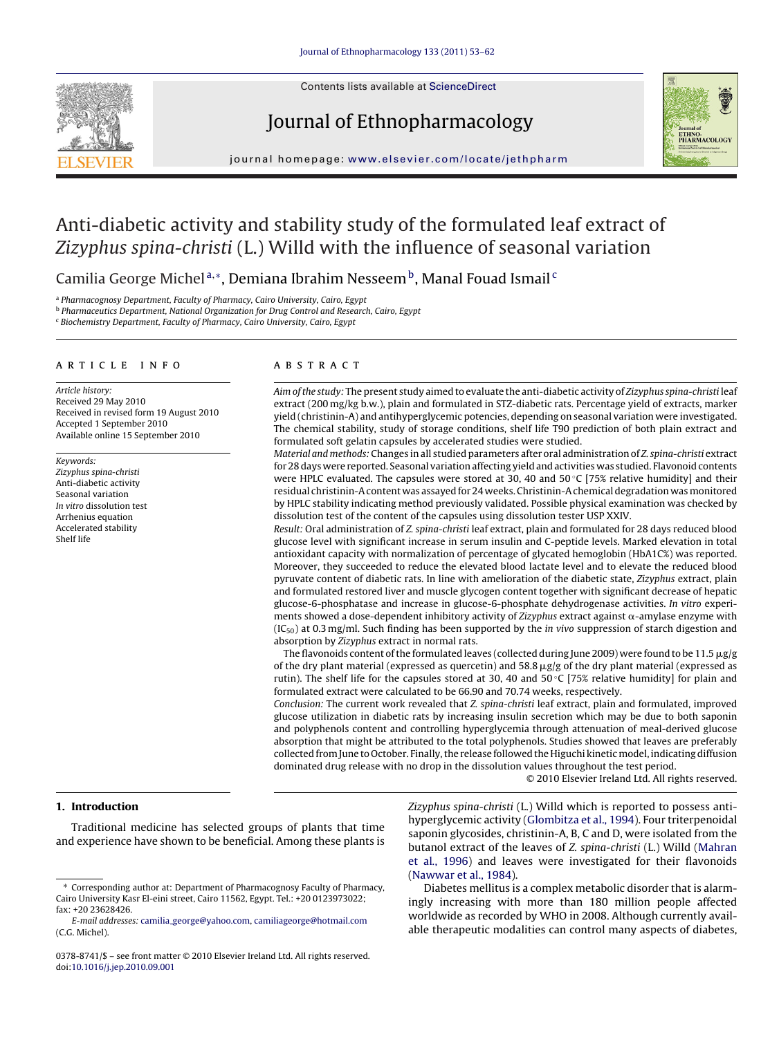Contents lists available at [ScienceDirect](http://www.sciencedirect.com/science/journal/03788741)

# Journal of Ethnopharmacology



journal homepage: [www.elsevier.com/locate/jethpharm](http://www.elsevier.com/locate/jethpharm)

# Anti-diabetic activity and stability study of the formulated leaf extract of Zizyphus spina-christi (L.) Willd with the influence of seasonal variation

Camilia George Michel<sup>a,∗</sup>, Demiana Ibrahim Nesseem<sup>b</sup>, Manal Fouad Ismail<sup>c</sup>

<sup>a</sup> Pharmacognosy Department, Faculty of Pharmacy, Cairo University, Cairo, Egypt

b Pharmaceutics Department, National Organization for Drug Control and Research, Cairo, Egypt

<sup>c</sup> Biochemistry Department, Faculty of Pharmacy, Cairo University, Cairo, Egypt

### article info

Article history: Received 29 May 2010 Received in revised form 19 August 2010 Accepted 1 September 2010 Available online 15 September 2010

Keywords: Zizyphus spina-christi Anti-diabetic activity Seasonal variation In vitro dissolution test Arrhenius equation Accelerated stability Shelf life

# ABSTRACT

Aim of the study: The present study aimed to evaluate the anti-diabetic activity of Zizyphus spina-christi leaf extract (200 mg/kg b.w.), plain and formulated in STZ-diabetic rats. Percentage yield of extracts, marker yield (christinin-A) and antihyperglycemic potencies, depending on seasonal variation were investigated. The chemical stability, study of storage conditions, shelf life T90 prediction of both plain extract and formulated soft gelatin capsules by accelerated studies were studied.

Material and methods: Changes in all studied parameters after oral administration of Z. spina-christi extract for 28 days were reported. Seasonal variation affecting yield and activities was studied. Flavonoid contents were HPLC evaluated. The capsules were stored at 30, 40 and  $50^{\circ}$ C [75% relative humidity] and their residual christinin-A content was assayed for 24 weeks. Christinin-A chemical degradation wasmonitored by HPLC stability indicating method previously validated. Possible physical examination was checked by dissolution test of the content of the capsules using dissolution tester USP XXIV.

Result: Oral administration of Z. spina-christi leaf extract, plain and formulated for 28 days reduced blood glucose level with significant increase in serum insulin and C-peptide levels. Marked elevation in total antioxidant capacity with normalization of percentage of glycated hemoglobin (HbA1C%) was reported. Moreover, they succeeded to reduce the elevated blood lactate level and to elevate the reduced blood pyruvate content of diabetic rats. In line with amelioration of the diabetic state, Zizyphus extract, plain and formulated restored liver and muscle glycogen content together with significant decrease of hepatic glucose-6-phosphatase and increase in glucose-6-phosphate dehydrogenase activities. In vitro experiments showed a dose-dependent inhibitory activity of Zizyphus extract against  $\alpha$ -amylase enzyme with  $(IC_{50})$  at 0.3 mg/ml. Such finding has been supported by the *in vivo* suppression of starch digestion and absorption by Zizyphus extract in normal rats.

The flavonoids content of the formulated leaves (collected during June 2009) were found to be 11.5  $\mu$ g/g of the dry plant material (expressed as quercetin) and 58.8  $\mu$ g/g of the dry plant material (expressed as rutin). The shelf life for the capsules stored at 30, 40 and  $50^{\circ}$ C [75% relative humidity] for plain and formulated extract were calculated to be 66.90 and 70.74 weeks, respectively.

Conclusion: The current work revealed that Z. spina-christi leaf extract, plain and formulated, improved glucose utilization in diabetic rats by increasing insulin secretion which may be due to both saponin and polyphenols content and controlling hyperglycemia through attenuation of meal-derived glucose absorption that might be attributed to the total polyphenols. Studies showed that leaves are preferably collected from June to October. Finally, the release followed the Higuchi kineticmodel, indicating diffusion dominated drug release with no drop in the dissolution values throughout the test period.

© 2010 Elsevier Ireland Ltd. All rights reserved.

# **1. Introduction**

Traditional medicine has selected groups of plants that time and experience have shown to be beneficial. Among these plants is Zizyphus spina-christi (L.) Willd which is reported to possess antihyperglycemic activity [\(Glombitza et al., 1994\).](#page-9-0) Four triterpenoidal saponin glycosides, christinin-A, B, C and D, were isolated from the butanol extract of the leaves of Z. spina-christi (L.) Willd [\(Mahran](#page-9-0) [et a](#page-9-0)l.[, 1996\)](#page-9-0) and leaves were investigated for their flavonoids [\(Nawwar et al., 1984\).](#page-9-0)

Diabetes mellitus is a complex metabolic disorder that is alarmingly increasing with more than 180 million people affected worldwide as recorded by WHO in 2008. Although currently available therapeutic modalities can control many aspects of diabetes,

<sup>∗</sup> Corresponding author at: Department of Pharmacognosy Faculty of Pharmacy, Cairo University Kasr El-eini street, Cairo 11562, Egypt. Tel.: +20 0123973022; fax: +20 23628426.

E-mail addresses: camilia [george@yahoo.com](mailto:camilia_george@yahoo.com), [camiliageorge@hotmail.com](mailto:camiliageorge@hotmail.com) (C.G. Michel).

<sup>0378-8741/\$ –</sup> see front matter © 2010 Elsevier Ireland Ltd. All rights reserved. doi:[10.1016/j.jep.2010.09.001](dx.doi.org/10.1016/j.jep.2010.09.001)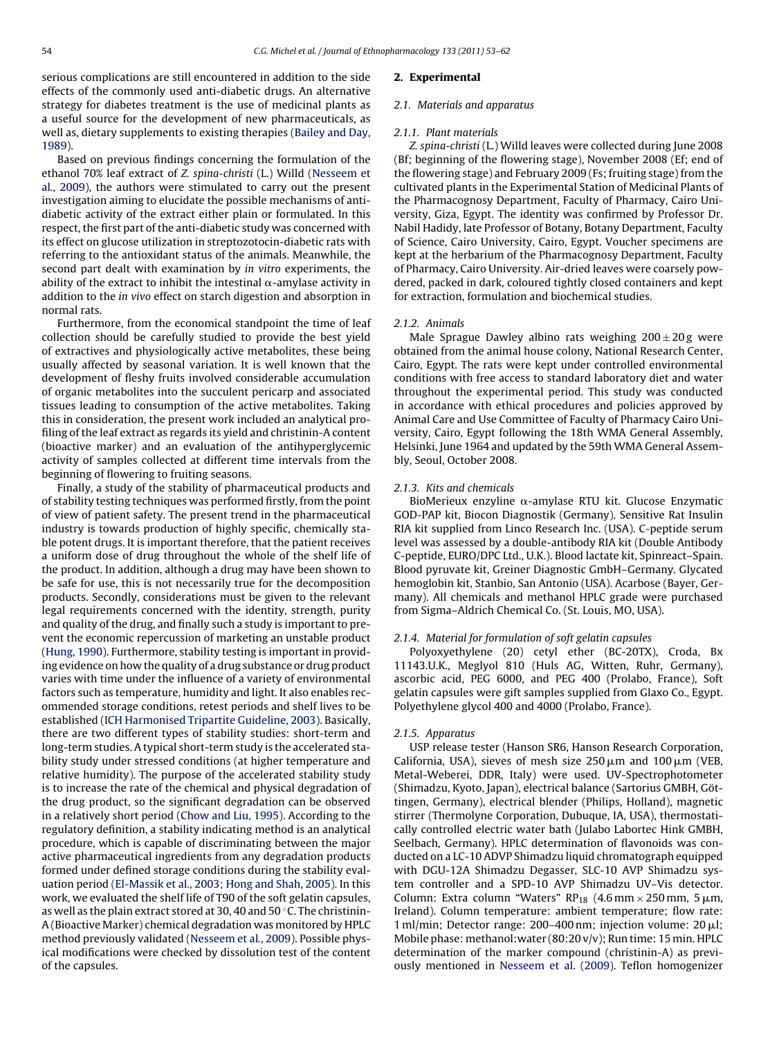serious complications are still encountered in addition to the side effects of the commonly used anti-diabetic drugs. An alternative strategy for diabetes treatment is the use of medicinal plants as a useful source for the development of new pharmaceuticals, as well as, dietary supplements to existing therapies [\(Bailey and Day,](#page-9-0) [1989\).](#page-9-0)

Based on previous findings concerning the formulation of the ethanol 70% leaf extract of Z. spina-christi (L.) Willd ([Nesseem et](#page-9-0) al.[, 2009\),](#page-9-0) the authors were stimulated to carry out the present investigation aiming to elucidate the possible mechanisms of antidiabetic activity of the extract either plain or formulated. In this respect, the first part of the anti-diabetic study was concerned with its effect on glucose utilization in streptozotocin-diabetic rats with referring to the antioxidant status of the animals. Meanwhile, the second part dealt with examination by in vitro experiments, the ability of the extract to inhibit the intestinal  $\alpha$ -amylase activity in addition to the in vivo effect on starch digestion and absorption in normal rats.

Furthermore, from the economical standpoint the time of leaf collection should be carefully studied to provide the best yield of extractives and physiologically active metabolites, these being usually affected by seasonal variation. It is well known that the development of fleshy fruits involved considerable accumulation of organic metabolites into the succulent pericarp and associated tissues leading to consumption of the active metabolites. Taking this in consideration, the present work included an analytical profiling of the leaf extract as regards its yield and christinin-A content (bioactive marker) and an evaluation of the antihyperglycemic activity of samples collected at different time intervals from the beginning of flowering to fruiting seasons.

Finally, a study of the stability of pharmaceutical products and of stability testing techniques was performed firstly, from the point of view of patient safety. The present trend in the pharmaceutical industry is towards production of highly specific, chemically stable potent drugs. It is important therefore, that the patient receives a uniform dose of drug throughout the whole of the shelf life of the product. In addition, although a drug may have been shown to be safe for use, this is not necessarily true for the decomposition products. Secondly, considerations must be given to the relevant legal requirements concerned with the identity, strength, purity and quality of the drug, and finally such a study is important to prevent the economic repercussion of marketing an unstable product ([Hung, 1990\).](#page-9-0) Furthermore, stability testing is important in providing evidence on how the quality of a drug substance or drug product varies with time under the influence of a variety of environmental factors such as temperature, humidity and light. It also enables recommended storage conditions, retest periods and shelf lives to be established ([ICH Harmonised Tripartite Guideline, 2003\).](#page-9-0) Basically, there are two different types of stability studies: short-term and long-term studies. A typical short-term study is the accelerated stability study under stressed conditions (at higher temperature and relative humidity). The purpose of the accelerated stability study is to increase the rate of the chemical and physical degradation of the drug product, so the significant degradation can be observed in a relatively short period [\(Chow and Liu, 1995\).](#page-9-0) According to the regulatory definition, a stability indicating method is an analytical procedure, which is capable of discriminating between the major active pharmaceutical ingredients from any degradation products formed under defined storage conditions during the stability evaluation period [\(El-Massik et al](#page-9-0)., [2003; Hong and Shah, 2005\).](#page-9-0) In this work, we evaluated the shelf life of T90 of the soft gelatin capsules, as well as the plain extract stored at 30, 40 and 50 ◦C. The christinin-A (Bioactive Marker) chemical degradation was monitored by HPLC method previously validated ([Nesseem et al](#page-9-0)., [2009\).](#page-9-0) Possible physical modifications were checked by dissolution test of the content of the capsules.

### **2. Experimental**

### 2.1. Materials and apparatus

### 2.1.1. Plant materials

Z. spina-christi (L.) Willd leaves were collected during June 2008 (Bf; beginning of the flowering stage), November 2008 (Ef; end of the flowering stage) and February 2009 (Fs; fruiting stage) from the cultivated plants in the Experimental Station of Medicinal Plants of the Pharmacognosy Department, Faculty of Pharmacy, Cairo University, Giza, Egypt. The identity was confirmed by Professor Dr. Nabil Hadidy, late Professor of Botany, Botany Department, Faculty of Science, Cairo University, Cairo, Egypt. Voucher specimens are kept at the herbarium of the Pharmacognosy Department, Faculty of Pharmacy, Cairo University. Air-dried leaves were coarsely powdered, packed in dark, coloured tightly closed containers and kept for extraction, formulation and biochemical studies.

### 2.1.2. Animals

Male Sprague Dawley albino rats weighing  $200 \pm 20$  g were obtained from the animal house colony, National Research Center, Cairo, Egypt. The rats were kept under controlled environmental conditions with free access to standard laboratory diet and water throughout the experimental period. This study was conducted in accordance with ethical procedures and policies approved by Animal Care and Use Committee of Faculty of Pharmacy Cairo University, Cairo, Egypt following the 18th WMA General Assembly, Helsinki, June 1964 and updated by the 59th WMA General Assembly, Seoul, October 2008.

### 2.1.3. Kits and chemicals

 $Bi$ oMerieux enzyline  $\alpha$ -amylase RTU kit. Glucose Enzymatic GOD-PAP kit, Biocon Diagnostik (Germany). Sensitive Rat Insulin RIA kit supplied from Linco Research Inc. (USA). C-peptide serum level was assessed by a double-antibody RIA kit (Double Antibody C-peptide, EURO/DPC Ltd., U.K.). Blood lactate kit, Spinreact–Spain. Blood pyruvate kit, Greiner Diagnostic GmbH–Germany. Glycated hemoglobin kit, Stanbio, San Antonio (USA). Acarbose (Bayer, Germany). All chemicals and methanol HPLC grade were purchased from Sigma–Aldrich Chemical Co. (St. Louis, MO, USA).

### 2.1.4. Material for formulation of soft gelatin capsules

Polyoxyethylene (20) cetyl ether (BC-20TX), Croda, Bx 11143.U.K., Meglyol 810 (Huls AG, Witten, Ruhr, Germany), ascorbic acid, PEG 6000, and PEG 400 (Prolabo, France), Soft gelatin capsules were gift samples supplied from Glaxo Co., Egypt. Polyethylene glycol 400 and 4000 (Prolabo, France).

### 2.1.5. Apparatus

USP release tester (Hanson SR6, Hanson Research Corporation, California, USA), sieves of mesh size  $250 \,\mu m$  and  $100 \,\mu m$  (VEB, Metal-Weberei, DDR, Italy) were used. UV-Spectrophotometer (Shimadzu, Kyoto, Japan), electrical balance (Sartorius GMBH, Göttingen, Germany), electrical blender (Philips, Holland), magnetic stirrer (Thermolyne Corporation, Dubuque, IA, USA), thermostatically controlled electric water bath (Julabo Labortec Hink GMBH, Seelbach, Germany). HPLC determination of flavonoids was conducted on a LC-10 ADVP Shimadzu liquid chromatograph equipped with DGU-12A Shimadzu Degasser, SLC-10 AVP Shimadzu system controller and a SPD-10 AVP Shimadzu UV–Vis detector. Column: Extra column "Waters" RP<sub>18</sub> (4.6 mm  $\times$  250 mm, 5  $\mu$ m, Ireland). Column temperature: ambient temperature; flow rate: 1 ml/min; Detector range: 200-400 nm; injection volume:  $20 \mu$ l; Mobile phase: methanol:water (80:20 v/v); Run time: 15 min. HPLC determination of the marker compound (christinin-A) as previously mentioned in [Nesseem et al. \(2009\).](#page-9-0) Teflon homogenizer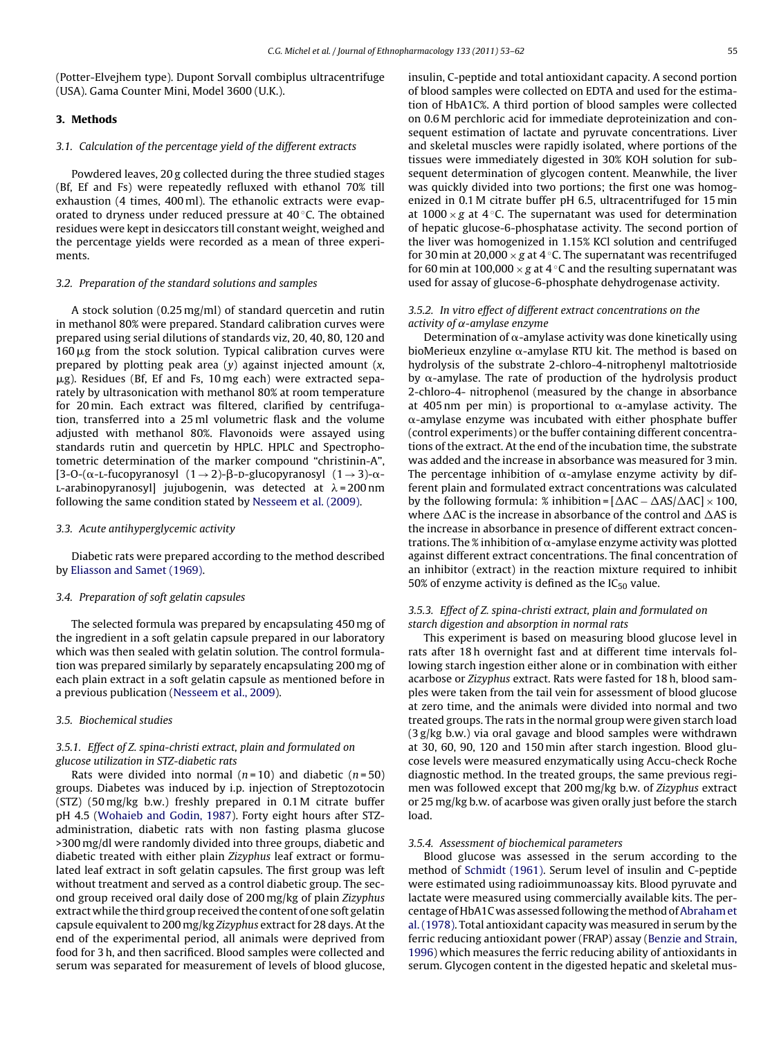(Potter-Elvejhem type). Dupont Sorvall combiplus ultracentrifuge (USA). Gama Counter Mini, Model 3600 (U.K.).

# **3. Methods**

# 3.1. Calculation of the percentage yield of the different extracts

Powdered leaves, 20 g collected during the three studied stages (Bf, Ef and Fs) were repeatedly refluxed with ethanol 70% till exhaustion (4 times, 400 ml). The ethanolic extracts were evaporated to dryness under reduced pressure at 40 ◦C. The obtained residues were kept in desiccators till constant weight, weighed and the percentage yields were recorded as a mean of three experiments.

### 3.2. Preparation of the standard solutions and samples

A stock solution (0.25 mg/ml) of standard quercetin and rutin in methanol 80% were prepared. Standard calibration curves were prepared using serial dilutions of standards viz, 20, 40, 80, 120 and  $160 \,\mu$ g from the stock solution. Typical calibration curves were prepared by plotting peak area  $(y)$  against injected amount  $(x,$  $\mu$ g). Residues (Bf, Ef and Fs, 10 mg each) were extracted separately by ultrasonication with methanol 80% at room temperature for 20 min. Each extract was filtered, clarified by centrifugation, transferred into a 25 ml volumetric flask and the volume adjusted with methanol 80%. Flavonoids were assayed using standards rutin and quercetin by HPLC. HPLC and Spectrophotometric determination of the marker compound "christinin-A", [3-O-(α-L-fucopyranosyl (1→2)-β-D-glucopyranosyl (1→3)-α- $L$ -arabinopyranosyl] jujubogenin, was detected at  $\lambda = 200$ nm following the same condition stated by [Nesseem et al. \(2009\).](#page-9-0)

# 3.3. Acute antihyperglycemic activity

Diabetic rats were prepared according to the method described by [Eliasson and Samet \(1969\).](#page-9-0)

### 3.4. Preparation of soft gelatin capsules

The selected formula was prepared by encapsulating 450 mg of the ingredient in a soft gelatin capsule prepared in our laboratory which was then sealed with gelatin solution. The control formulation was prepared similarly by separately encapsulating 200 mg of each plain extract in a soft gelatin capsule as mentioned before in a previous publication ([Nesseem et al., 2009\).](#page-9-0)

### 3.5. Biochemical studies

# 3.5.1. Effect of Z. spina-christi extract, plain and formulated on glucose utilization in STZ-diabetic rats

Rats were divided into normal  $(n=10)$  and diabetic  $(n=50)$ groups. Diabetes was induced by i.p. injection of Streptozotocin (STZ) (50 mg/kg b.w.) freshly prepared in 0.1 M citrate buffer pH 4.5 ([Wohaieb and Godin, 1987\).](#page-9-0) Forty eight hours after STZadministration, diabetic rats with non fasting plasma glucose >300 mg/dl were randomly divided into three groups, diabetic and diabetic treated with either plain Zizyphus leaf extract or formulated leaf extract in soft gelatin capsules. The first group was left without treatment and served as a control diabetic group. The second group received oral daily dose of 200 mg/kg of plain Zizyphus extract while the third group received the content of one soft gelatin capsule equivalent to 200 mg/kg Zizyphus extract for 28 days. At the end of the experimental period, all animals were deprived from food for 3 h, and then sacrificed. Blood samples were collected and serum was separated for measurement of levels of blood glucose,

insulin, C-peptide and total antioxidant capacity. A second portion of blood samples were collected on EDTA and used for the estimation of HbA1C%. A third portion of blood samples were collected on 0.6 M perchloric acid for immediate deproteinization and consequent estimation of lactate and pyruvate concentrations. Liver and skeletal muscles were rapidly isolated, where portions of the tissues were immediately digested in 30% KOH solution for subsequent determination of glycogen content. Meanwhile, the liver was quickly divided into two portions; the first one was homogenized in 0.1 M citrate buffer pH 6.5, ultracentrifuged for 15 min at 1000  $\times$  g at 4 °C. The supernatant was used for determination of hepatic glucose-6-phosphatase activity. The second portion of the liver was homogenized in 1.15% KCl solution and centrifuged for 30 min at 20,000  $\times$  g at 4 °C. The supernatant was recentrifuged for 60 min at 100,000  $\times$  g at 4 °C and the resulting supernatant was used for assay of glucose-6-phosphate dehydrogenase activity.

# 3.5.2. In vitro effect of different extract concentrations on the activity of  $\alpha$ -amylase enzyme

Determination of  $\alpha$ -amylase activity was done kinetically using bioMerieux enzyline  $\alpha$ -amylase RTU kit. The method is based on hydrolysis of the substrate 2-chloro-4-nitrophenyl maltotrioside by  $\alpha$ -amylase. The rate of production of the hydrolysis product 2-chloro-4- nitrophenol (measured by the change in absorbance at 405 nm per min) is proportional to  $\alpha$ -amylase activity. The --amylase enzyme was incubated with either phosphate buffer (control experiments) or the buffer containing different concentrations of the extract. At the end of the incubation time, the substrate was added and the increase in absorbance was measured for 3 min. The percentage inhibition of  $\alpha$ -amylase enzyme activity by different plain and formulated extract concentrations was calculated by the following formula: % inhibition =  $[\Delta AC - \Delta AS/\Delta AC] \times 100$ , where  $\Delta$ AC is the increase in absorbance of the control and  $\Delta$ AS is the increase in absorbance in presence of different extract concentrations. The % inhibition of  $\alpha$ -amylase enzyme activity was plotted against different extract concentrations. The final concentration of an inhibitor (extract) in the reaction mixture required to inhibit 50% of enzyme activity is defined as the  $IC_{50}$  value.

# 3.5.3. Effect of Z. spina-christi extract, plain and formulated on starch digestion and absorption in normal rats

This experiment is based on measuring blood glucose level in rats after 18 h overnight fast and at different time intervals following starch ingestion either alone or in combination with either acarbose or Zizyphus extract. Rats were fasted for 18 h, blood samples were taken from the tail vein for assessment of blood glucose at zero time, and the animals were divided into normal and two treated groups. The rats in the normal group were given starch load (3 g/kg b.w.) via oral gavage and blood samples were withdrawn at 30, 60, 90, 120 and 150 min after starch ingestion. Blood glucose levels were measured enzymatically using Accu-check Roche diagnostic method. In the treated groups, the same previous regimen was followed except that 200 mg/kg b.w. of Zizyphus extract or 25 mg/kg b.w. of acarbose was given orally just before the starch load.

### 3.5.4. Assessment of biochemical parameters

Blood glucose was assessed in the serum according to the method of [Schmidt \(1961\).](#page-9-0) Serum level of insulin and C-peptide were estimated using radioimmunoassay kits. Blood pyruvate and lactate were measured using commercially available kits. The per-centage of HbA1C was assessed following the method of [Abraham et](#page-9-0) [al. \(1978\). T](#page-9-0)otal antioxidant capacity was measured in serum by the ferric reducing antioxidant power (FRAP) assay ([Benzie and Strain,](#page-9-0) [1996\)](#page-9-0) which measures the ferric reducing ability of antioxidants in serum. Glycogen content in the digested hepatic and skeletal mus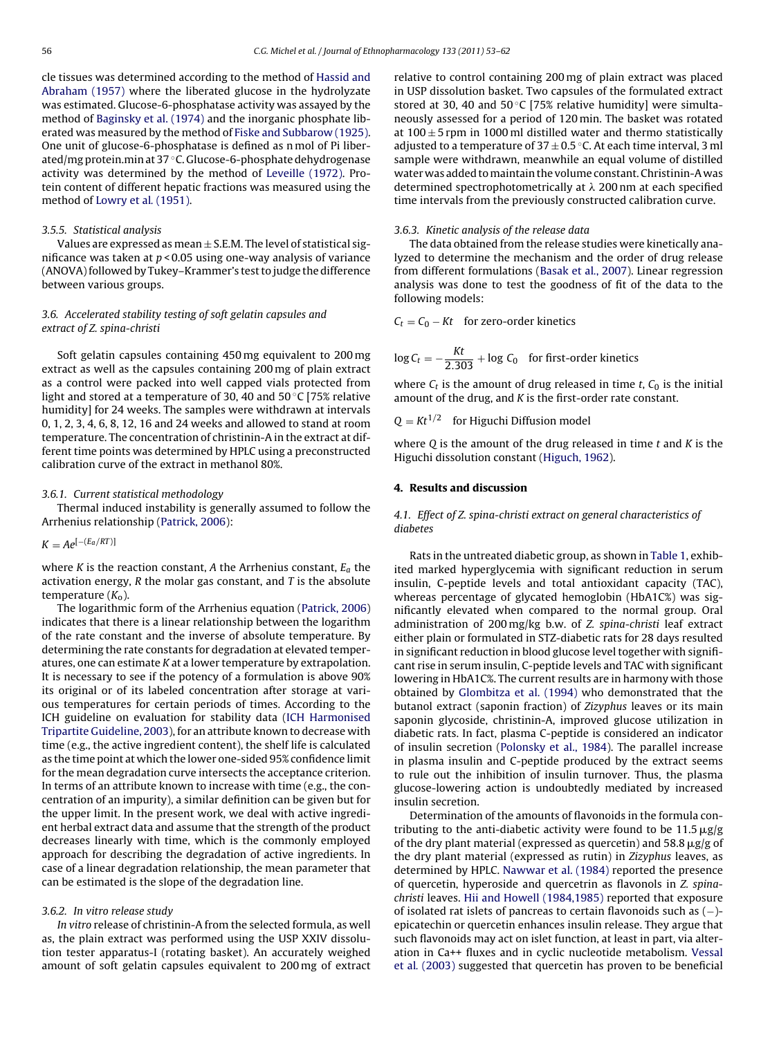cle tissues was determined according to the method of [Hassid and](#page-9-0) [Abraham \(1957\)](#page-9-0) where the liberated glucose in the hydrolyzate was estimated. Glucose-6-phosphatase activity was assayed by the method of [Baginsky et al. \(1974\)](#page-9-0) and the inorganic phosphate liberated was measured by the method of [Fiske and Subbarow \(1925\).](#page-9-0) One unit of glucose-6-phosphatase is defined as n mol of Pi liberated/mg protein.min at 37 ◦C. Glucose-6-phosphate dehydrogenase activity was determined by the method of [Leveille \(1972\).](#page-9-0) Protein content of different hepatic fractions was measured using the method of [Lowry et al](#page-9-0). [\(1951\).](#page-9-0)

#### 3.5.5. Statistical analysis

Values are expressed as mean  $\pm$  S.E.M. The level of statistical significance was taken at  $p < 0.05$  using one-way analysis of variance (ANOVA) followed by Tukey–Krammer's test to judge the difference between various groups.

# 3.6. Accelerated stability testing of soft gelatin capsules and extract of Z. spina-christi

Soft gelatin capsules containing 450 mg equivalent to 200 mg extract as well as the capsules containing 200 mg of plain extract as a control were packed into well capped vials protected from light and stored at a temperature of 30, 40 and 50 ◦C [75% relative humidity] for 24 weeks. The samples were withdrawn at intervals 0, 1, 2, 3, 4, 6, 8, 12, 16 and 24 weeks and allowed to stand at room temperature. The concentration of christinin-A in the extract at different time points was determined by HPLC using a preconstructed calibration curve of the extract in methanol 80%.

### 3.6.1. Current statistical methodology

Thermal induced instability is generally assumed to follow the Arrhenius relationship ([Patrick, 2006\):](#page-9-0)

 $K = Ae^{[-(E_a/RT)]}$ 

where K is the reaction constant, A the Arrhenius constant,  $E_a$  the activation energy, R the molar gas constant, and  $T$  is the absolute temperature  $(K_0)$ .

The logarithmic form of the Arrhenius equation ([Patrick, 2006\)](#page-9-0) indicates that there is a linear relationship between the logarithm of the rate constant and the inverse of absolute temperature. By determining the rate constants for degradation at elevated temperatures, one can estimate K at a lower temperature by extrapolation. It is necessary to see if the potency of a formulation is above 90% its original or of its labeled concentration after storage at various temperatures for certain periods of times. According to the ICH guideline on evaluation for stability data [\(ICH Harmonised](#page-9-0) [Tripartite Guideline, 2003\),](#page-9-0) for an attribute known to decrease with time (e.g., the active ingredient content), the shelf life is calculated as the time point at which the lower one-sided 95% confidence limit for the mean degradation curve intersects the acceptance criterion. In terms of an attribute known to increase with time (e.g., the concentration of an impurity), a similar definition can be given but for the upper limit. In the present work, we deal with active ingredient herbal extract data and assume that the strength of the product decreases linearly with time, which is the commonly employed approach for describing the degradation of active ingredients. In case of a linear degradation relationship, the mean parameter that can be estimated is the slope of the degradation line.

# 3.6.2. In vitro release study

In vitro release of christinin-A from the selected formula, as well as, the plain extract was performed using the USP XXIV dissolution tester apparatus-I (rotating basket). An accurately weighed amount of soft gelatin capsules equivalent to 200 mg of extract relative to control containing 200 mg of plain extract was placed in USP dissolution basket. Two capsules of the formulated extract stored at 30, 40 and 50 $°C$  [75% relative humidity] were simultaneously assessed for a period of 120 min. The basket was rotated at  $100 \pm 5$  rpm in 1000 ml distilled water and thermo statistically adjusted to a temperature of  $37 \pm 0.5$  °C. At each time interval, 3 ml sample were withdrawn, meanwhile an equal volume of distilled water was added to maintain the volume constant. Christinin-A was determined spectrophotometrically at  $\lambda$  200 nm at each specified time intervals from the previously constructed calibration curve.

### 3.6.3. Kinetic analysis of the release data

The data obtained from the release studies were kinetically analyzed to determine the mechanism and the order of drug release from different formulations ([Basak et al](#page-9-0)., [2007\).](#page-9-0) Linear regression analysis was done to test the goodness of fit of the data to the following models:

$$
C_t = C_0 - Kt
$$
 for zero-order kinetics

$$
\log C_t = -\frac{Kt}{2.303} + \log C_0
$$
 for first-order kinetics

where  $C_t$  is the amount of drug released in time t,  $C_0$  is the initial amount of the drug, and K is the first-order rate constant.

 $Q = Kt^{1/2}$  for Higuchi Diffusion model

where  $Q$  is the amount of the drug released in time  $t$  and  $K$  is the Higuchi dissolution constant [\(Higuch, 1962\).](#page-9-0)

### **4. Results and discussion**

# 4.1. Effect of Z. spina-christi extract on general characteristics of diabetes

Rats in the untreated diabetic group, as shown in [Table 1, e](#page-4-0)xhibited marked hyperglycemia with significant reduction in serum insulin, C-peptide levels and total antioxidant capacity (TAC), whereas percentage of glycated hemoglobin (HbA1C%) was significantly elevated when compared to the normal group. Oral administration of 200 mg/kg b.w. of Z. spina-christi leaf extract either plain or formulated in STZ-diabetic rats for 28 days resulted in significant reduction in blood glucose level together with significant rise in serum insulin, C-peptide levels and TAC with significant lowering in HbA1C%. The current results are in harmony with those obtained by [Glombitza et al. \(1994\)](#page-9-0) who demonstrated that the butanol extract (saponin fraction) of Zizyphus leaves or its main saponin glycoside, christinin-A, improved glucose utilization in diabetic rats. In fact, plasma C-peptide is considered an indicator of insulin secretion ([Polonsky et al., 1984\).](#page-9-0) The parallel increase in plasma insulin and C-peptide produced by the extract seems to rule out the inhibition of insulin turnover. Thus, the plasma glucose-lowering action is undoubtedly mediated by increased insulin secretion.

Determination of the amounts of flavonoids in the formula contributing to the anti-diabetic activity were found to be  $11.5 \mu$ g/g of the dry plant material (expressed as quercetin) and 58.8  $\mu$ g/g of the dry plant material (expressed as rutin) in Zizyphus leaves, as determined by HPLC. [Nawwar et al. \(1984\)](#page-9-0) reported the presence of quercetin, hyperoside and quercetrin as flavonols in Z. spinachristi leaves. [Hii and Howell \(1984,1985\)](#page-9-0) reported that exposure of isolated rat islets of pancreas to certain flavonoids such as (−) epicatechin or quercetin enhances insulin release. They argue that such flavonoids may act on islet function, at least in part, via alteration in Ca++ fluxes and in cyclic nucleotide metabolism. [Vessal](#page-9-0) [et al](#page-9-0). [\(2003\)](#page-9-0) suggested that quercetin has proven to be beneficial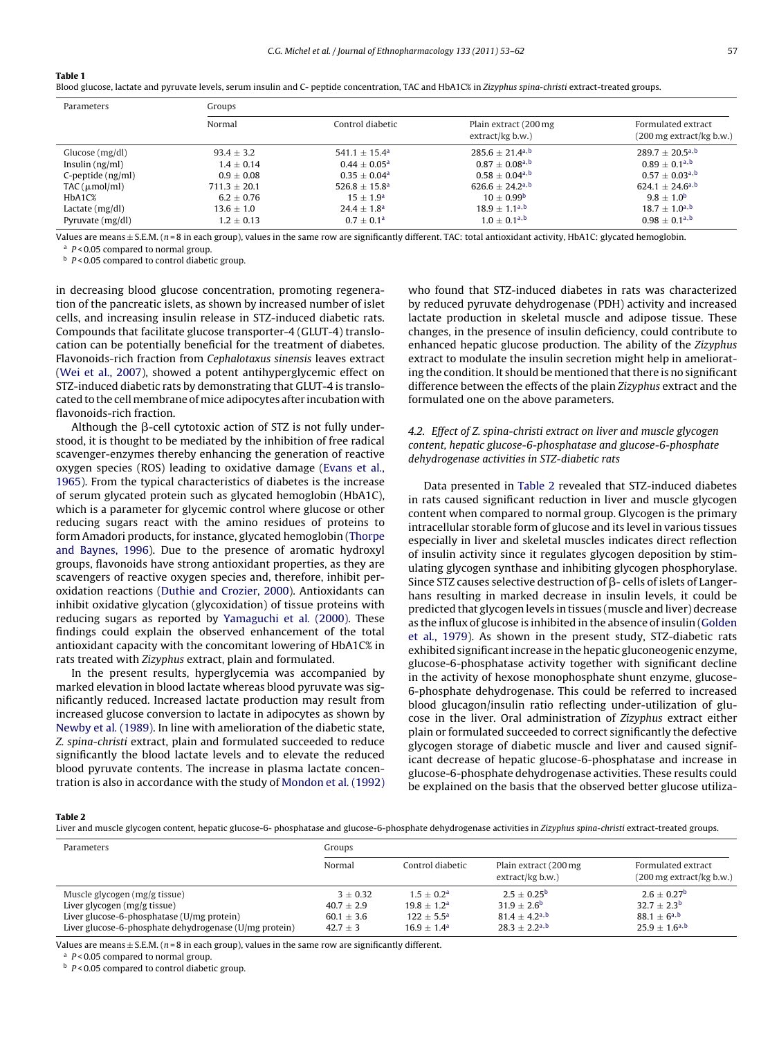<span id="page-4-0"></span>**Table 1**

Blood glucose, lactate and pyruvate levels, serum insulin and C- peptide concentration, TAC and HbA1C% in Zizyphus spina-christi extract-treated groups.

| Parameters             | Groups           |                        |                                            |                                                |  |
|------------------------|------------------|------------------------|--------------------------------------------|------------------------------------------------|--|
|                        | Normal           | Control diabetic       | Plain extract (200 mg)<br>extract/kg b.w.) | Formulated extract<br>(200 mg extract/kg b.w.) |  |
| Glucose (mg/dl)        | $93.4 + 3.2$     | $541.1 + 15.4^{\circ}$ | $285.6 + 21.4a$ , b                        | $289.7 + 20.5^{a,b}$                           |  |
| Insulin $(ng/ml)$      | $1.4 + 0.14$     | $0.44 + 0.05^{\circ}$  | $0.87 + 0.08^{a,b}$                        | $0.89 + 0.1^{a,b}$                             |  |
| $C$ -peptide $(ng/ml)$ | $0.9 \pm 0.08$   | $0.35 + 0.04^a$        | $0.58 + 0.04$ <sup>a, b</sup>              | $0.57 + 0.03a$                                 |  |
| $TAC$ ( $\mu$ mol/ml)  | $711.3 \pm 20.1$ | $526.8 + 15.8a$        | $626.6 + 24.2^{a,b}$                       | $624.1 + 24.6^{a,b}$                           |  |
| HbA1C%                 | $6.2 \pm 0.76$   | $15 + 1.9^a$           | $10 + 0.99b$                               | $9.8 + 1.0^{b}$                                |  |
| Lactate $(mg/dl)$      | $13.6 + 1.0$     | $24.4 + 1.8a$          | $18.9 + 1.1^{a,b}$                         | $18.7 \pm 1.0^{a,b}$                           |  |
| Pyruvate (mg/dl)       | $1.2 \pm 0.13$   | $0.7 \pm 0.1^{\circ}$  | $1.0 + 0.1^{a,b}$                          | $0.98 + 0.1a$                                  |  |

Values are means ± S.E.M. (n = 8 in each group), values in the same row are significantly different. TAC: total antioxidant activity, HbA1C: glycated hemoglobin.  $P < 0.05$  compared to normal group.

 $\frac{b}{P}$  P < 0.05 compared to control diabetic group.

in decreasing blood glucose concentration, promoting regeneration of the pancreatic islets, as shown by increased number of islet cells, and increasing insulin release in STZ-induced diabetic rats. Compounds that facilitate glucose transporter-4 (GLUT-4) translocation can be potentially beneficial for the treatment of diabetes. Flavonoids-rich fraction from Cephalotaxus sinensis leaves extract ([Wei et al., 2007\),](#page-9-0) showed a potent antihyperglycemic effect on STZ-induced diabetic rats by demonstrating that GLUT-4 is translocated to the cellmembrane ofmice adipocytes after incubation with flavonoids-rich fraction.

Although the  $\beta$ -cell cytotoxic action of STZ is not fully understood, it is thought to be mediated by the inhibition of free radical scavenger-enzymes thereby enhancing the generation of reactive oxygen species (ROS) leading to oxidative damage [\(Evans et al](#page-9-0)., [1965\).](#page-9-0) From the typical characteristics of diabetes is the increase of serum glycated protein such as glycated hemoglobin (HbA1C), which is a parameter for glycemic control where glucose or other reducing sugars react with the amino residues of proteins to form Amadori products, for instance, glycated hemoglobin [\(Thorpe](#page-9-0) [and Baynes, 1996\).](#page-9-0) Due to the presence of aromatic hydroxyl groups, flavonoids have strong antioxidant properties, as they are scavengers of reactive oxygen species and, therefore, inhibit peroxidation reactions [\(Duthie and Crozier, 2000\).](#page-9-0) Antioxidants can inhibit oxidative glycation (glycoxidation) of tissue proteins with reducing sugars as reported by [Yamaguchi et al](#page-9-0). [\(2000\).](#page-9-0) These findings could explain the observed enhancement of the total antioxidant capacity with the concomitant lowering of HbA1C% in rats treated with Zizyphus extract, plain and formulated.

In the present results, hyperglycemia was accompanied by marked elevation in blood lactate whereas blood pyruvate was significantly reduced. Increased lactate production may result from increased glucose conversion to lactate in adipocytes as shown by [Newby et al](#page-9-0). [\(1989\). I](#page-9-0)n line with amelioration of the diabetic state, Z. spina-christi extract, plain and formulated succeeded to reduce significantly the blood lactate levels and to elevate the reduced blood pyruvate contents. The increase in plasma lactate concentration is also in accordance with the study of [Mondon et al](#page-9-0). [\(1992\)](#page-9-0) who found that STZ-induced diabetes in rats was characterized by reduced pyruvate dehydrogenase (PDH) activity and increased lactate production in skeletal muscle and adipose tissue. These changes, in the presence of insulin deficiency, could contribute to enhanced hepatic glucose production. The ability of the Zizyphus extract to modulate the insulin secretion might help in ameliorating the condition. It should be mentioned that there is no significant difference between the effects of the plain Zizyphus extract and the formulated one on the above parameters.

# 4.2. Effect of Z. spina-christi extract on liver and muscle glycogen content, hepatic glucose-6-phosphatase and glucose-6-phosphate dehydrogenase activities in STZ-diabetic rats

Data presented in Table 2 revealed that STZ-induced diabetes in rats caused significant reduction in liver and muscle glycogen content when compared to normal group. Glycogen is the primary intracellular storable form of glucose and its level in various tissues especially in liver and skeletal muscles indicates direct reflection of insulin activity since it regulates glycogen deposition by stimulating glycogen synthase and inhibiting glycogen phosphorylase. Since STZ causes selective destruction of  $\beta$ - cells of islets of Langerhans resulting in marked decrease in insulin levels, it could be predicted that glycogen levels in tissues (muscle and liver) decrease as the influx of glucose is inhibited in the absence of insulin [\(Golden](#page-9-0) [et a](#page-9-0)l.[, 1979\).](#page-9-0) As shown in the present study, STZ-diabetic rats exhibited significant increase in the hepatic gluconeogenic enzyme, glucose-6-phosphatase activity together with significant decline in the activity of hexose monophosphate shunt enzyme, glucose-6-phosphate dehydrogenase. This could be referred to increased blood glucagon/insulin ratio reflecting under-utilization of glucose in the liver. Oral administration of Zizyphus extract either plain or formulated succeeded to correct significantly the defective glycogen storage of diabetic muscle and liver and caused significant decrease of hepatic glucose-6-phosphatase and increase in glucose-6-phosphate dehydrogenase activities. These results could be explained on the basis that the observed better glucose utiliza-

**Table 2**

Liver and muscle glycogen content, hepatic glucose-6- phosphatase and glucose-6-phosphate dehydrogenase activities in Zizyphus spina-christi extract-treated groups.

| Parameters                                             | Groups         |                        |                                            |                                                                                     |  |
|--------------------------------------------------------|----------------|------------------------|--------------------------------------------|-------------------------------------------------------------------------------------|--|
|                                                        | Normal         | Control diabetic       | Plain extract (200 mg)<br>extract/kg b.w.) | Formulated extract<br>$(200 \,\mathrm{mg} \, \mathrm{extract/kg} \, \mathrm{b.w.})$ |  |
| Muscle glycogen (mg/g tissue)                          | $3 + 0.32$     | $1.5 + 0.2a$           | $2.5 + 0.25^{\circ}$                       | $2.6 + 0.27$ <sup>b</sup>                                                           |  |
| Liver glycogen (mg/g tissue)                           | $40.7 + 2.9$   | $19.8 + 1.2a$          | $31.9 + 2.6^{\circ}$                       | $32.7 + 2.3^b$                                                                      |  |
| Liver glucose-6-phosphatase (U/mg protein)             | $60.1 \pm 3.6$ | $122 + 5.5^{\circ}$    | $81.4 + 4.2^{a,b}$                         | $88.1 + 6^{a,b}$                                                                    |  |
| Liver glucose-6-phosphate dehydrogenase (U/mg protein) | $42.7 \pm 3$   | $16.9 \pm 1.4^{\circ}$ | $28.3 + 2.2^{a,b}$                         | $25.9 + 1.6^{a,b}$                                                                  |  |

Values are means  $\pm$  S.E.M. ( $n = 8$  in each group), values in the same row are significantly different.

<sup>a</sup>  $P < 0.05$  compared to normal group.

 $b$  P < 0.05 compared to control diabetic group.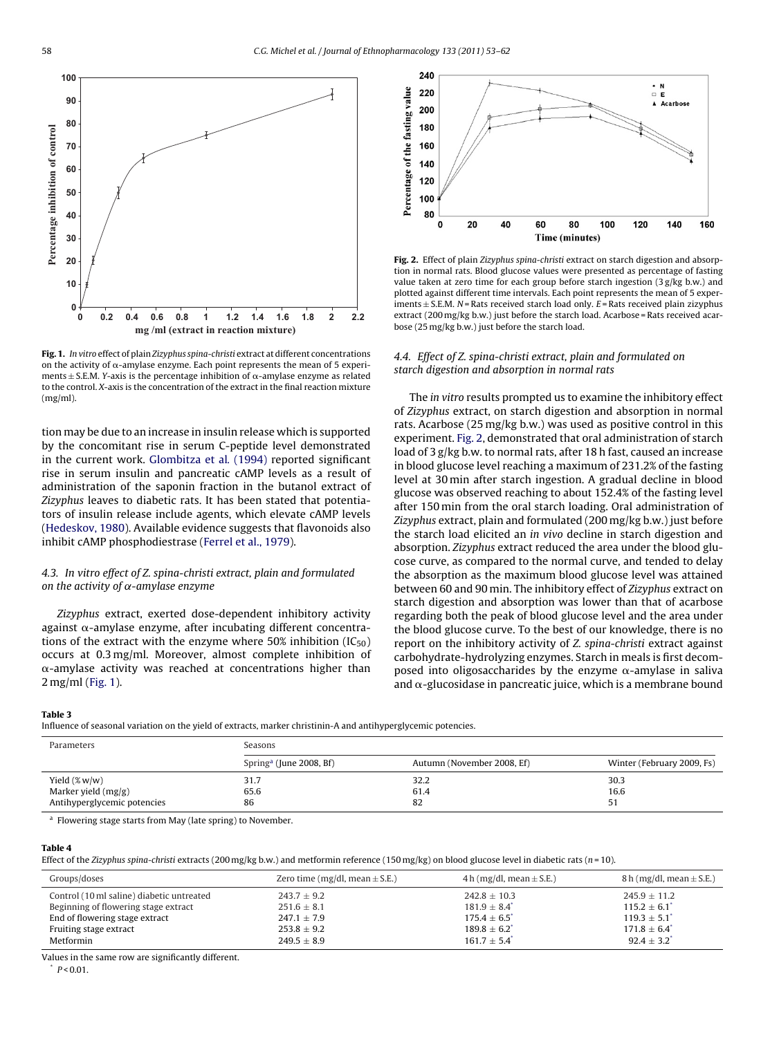<span id="page-5-0"></span>

**Fig. 1.** In vitro effect of plain Zizyphus spina-christi extract at different concentrations on the activity of  $\alpha$ -amylase enzyme. Each point represents the mean of 5 experiments  $\pm$  S.E.M. Y-axis is the percentage inhibition of  $\alpha$ -amylase enzyme as related to the control. X-axis is the concentration of the extract in the final reaction mixture  $(mg/ml)$ .

tion may be due to an increase in insulin release which is supported by the concomitant rise in serum C-peptide level demonstrated in the current work. [Glombitza et al](#page-9-0). [\(1994\)](#page-9-0) reported significant rise in serum insulin and pancreatic cAMP levels as a result of administration of the saponin fraction in the butanol extract of Zizyphus leaves to diabetic rats. It has been stated that potentiators of insulin release include agents, which elevate cAMP levels ([Hedeskov, 1980\).](#page-9-0) Available evidence suggests that flavonoids also inhibit cAMP phosphodiestrase ([Ferrel et al., 1979\).](#page-9-0)

# 4.3. In vitro effect of Z. spina-christi extract, plain and formulated on the activity of  $\alpha$ -amylase enzyme

Zizyphus extract, exerted dose-dependent inhibitory activity against  $\alpha$ -amylase enzyme, after incubating different concentrations of the extract with the enzyme where 50% inhibition ( $IC_{50}$ ) occurs at 0.3 mg/ml. Moreover, almost complete inhibition of --amylase activity was reached at concentrations higher than 2 mg/ml (Fig. 1).



**Fig. 2.** Effect of plain Zizyphus spina-christi extract on starch digestion and absorption in normal rats. Blood glucose values were presented as percentage of fasting value taken at zero time for each group before starch ingestion (3 g/kg b.w.) and plotted against different time intervals. Each point represents the mean of 5 exper $i$ ments  $\pm$  S.E.M. N = Rats received starch load only.  $E$  = Rats received plain zizyphus extract (200 mg/kg b.w.) just before the starch load. Acarbose = Rats received acarbose (25 mg/kg b.w.) just before the starch load.

# 4.4. Effect of Z. spina-christi extract, plain and formulated on starch digestion and absorption in normal rats

The in vitro results prompted us to examine the inhibitory effect of Zizyphus extract, on starch digestion and absorption in normal rats. Acarbose (25 mg/kg b.w.) was used as positive control in this experiment. Fig. 2, demonstrated that oral administration of starch load of 3 g/kg b.w. to normal rats, after 18 h fast, caused an increase in blood glucose level reaching a maximum of 231.2% of the fasting level at 30 min after starch ingestion. A gradual decline in blood glucose was observed reaching to about 152.4% of the fasting level after 150 min from the oral starch loading. Oral administration of Zizyphus extract, plain and formulated (200 mg/kg b.w.) just before the starch load elicited an in vivo decline in starch digestion and absorption. Zizyphus extract reduced the area under the blood glucose curve, as compared to the normal curve, and tended to delay the absorption as the maximum blood glucose level was attained between 60 and 90 min. The inhibitory effect of Zizyphus extract on starch digestion and absorption was lower than that of acarbose regarding both the peak of blood glucose level and the area under the blood glucose curve. To the best of our knowledge, there is no report on the inhibitory activity of Z. spina-christi extract against carbohydrate-hydrolyzing enzymes. Starch in meals is first decomposed into oligosaccharides by the enzyme  $\alpha$ -amylase in saliva and  $\alpha$ -glucosidase in pancreatic juice, which is a membrane bound

### **Table 3**

Influence of seasonal variation on the yield of extracts, marker christinin-A and antihyperglycemic potencies.

| Parameters                  | Seasons                             |                            |                            |  |  |
|-----------------------------|-------------------------------------|----------------------------|----------------------------|--|--|
|                             | Spring <sup>a</sup> (June 2008, Bf) | Autumn (November 2008, Ef) | Winter (February 2009, Fs) |  |  |
| Yield $(\%w/w)$             | 31.7                                | 32.2                       | 30.3                       |  |  |
| Marker yield (mg/g)         | 65.6                                | 61.4                       | 16.6                       |  |  |
| Antihyperglycemic potencies | 86                                  | 82                         | 51                         |  |  |

a Flowering stage starts from May (late spring) to November.

### **Table 4**

Effect of the Zizyphus spina-christi extracts (200 mg/kg b.w.) and metformin reference (150 mg/kg) on blood glucose level in diabetic rats (n = 10).

| Groups/doses                              | Zero time (mg/dl, mean $\pm$ S.E.) | 4 h (mg/dl, mean $\pm$ S.E.) | 8 h (mg/dl, mean $\pm$ S.E.) |
|-------------------------------------------|------------------------------------|------------------------------|------------------------------|
| Control (10 ml saline) diabetic untreated | $243.7 \pm 9.2$                    | $242.8 \pm 10.3$             | $245.9 + 11.2$               |
| Beginning of flowering stage extract      | $251.6 \pm 8.1$                    | $181.9 + 8.4$ <sup>*</sup>   | $115.2 + 6.1^*$              |
| End of flowering stage extract            | $247.1 + 7.9$                      | $175.4 + 6.5$ <sup>*</sup>   | $119.3 + 5.1$ <sup>*</sup>   |
| Fruiting stage extract                    | $253.8 \pm 9.2$                    | $189.8 + 6.2^*$              | $171.8 \pm 6.4^*$            |
| Metformin                                 | $249.5 + 8.9$                      | $161.7 + 5.4$                | $92.4 + 3.2^*$               |

Values in the same row are significantly different.

 $P < 0.01$ .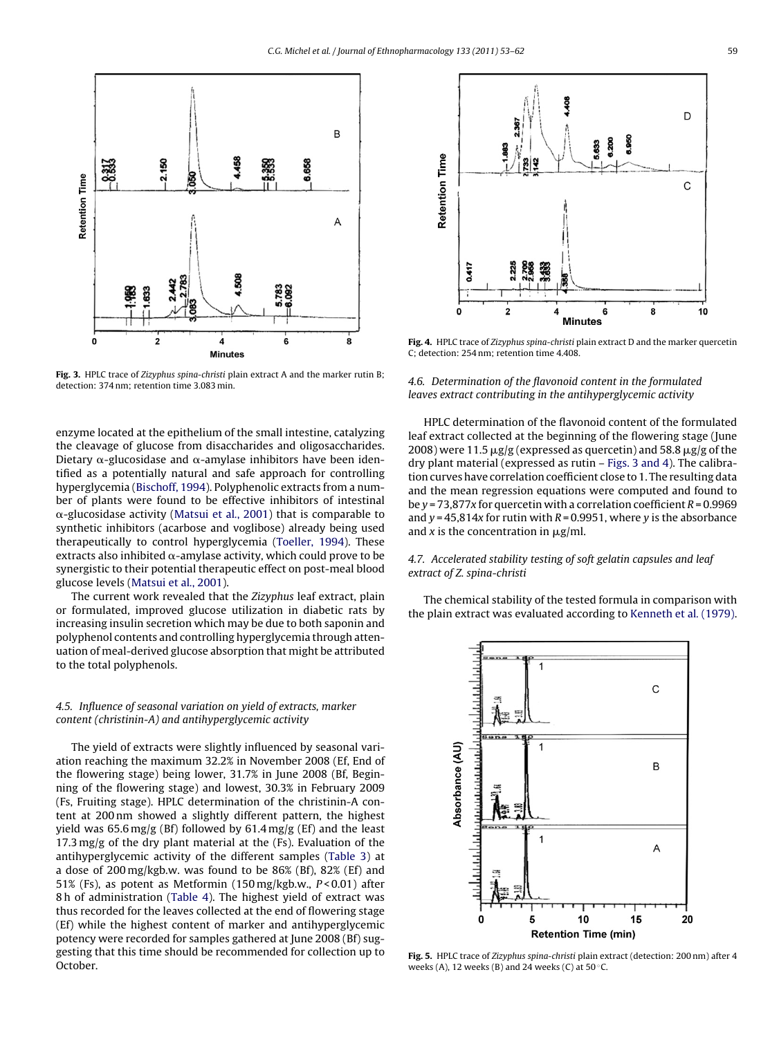<span id="page-6-0"></span>

**Fig. 3.** HPLC trace of Zizyphus spina-christi plain extract A and the marker rutin B; detection: 374 nm; retention time 3.083 min.

enzyme located at the epithelium of the small intestine, catalyzing the cleavage of glucose from disaccharides and oligosaccharides. Dietary  $\alpha$ -glucosidase and  $\alpha$ -amylase inhibitors have been identified as a potentially natural and safe approach for controlling hyperglycemia [\(Bischoff, 1994\).](#page-9-0) Polyphenolic extracts from a number of plants were found to be effective inhibitors of intestinal --glucosidase activity [\(Matsui et a](#page-9-0)l.[, 2001\)](#page-9-0) that is comparable to synthetic inhibitors (acarbose and voglibose) already being used therapeutically to control hyperglycemia ([Toeller, 1994\).](#page-9-0) These extracts also inhibited  $\alpha$ -amylase activity, which could prove to be synergistic to their potential therapeutic effect on post-meal blood glucose levels [\(Matsui et al](#page-9-0)., [2001\).](#page-9-0)

The current work revealed that the Zizyphus leaf extract, plain or formulated, improved glucose utilization in diabetic rats by increasing insulin secretion which may be due to both saponin and polyphenol contents and controlling hyperglycemia through attenuation of meal-derived glucose absorption that might be attributed to the total polyphenols.

# 4.5. Influence of seasonal variation on yield of extracts, marker content (christinin-A) and antihyperglycemic activity

The yield of extracts were slightly influenced by seasonal variation reaching the maximum 32.2% in November 2008 (Ef, End of the flowering stage) being lower, 31.7% in June 2008 (Bf, Beginning of the flowering stage) and lowest, 30.3% in February 2009 (Fs, Fruiting stage). HPLC determination of the christinin-A content at 200 nm showed a slightly different pattern, the highest yield was 65.6 mg/g (Bf) followed by 61.4 mg/g (Ef) and the least 17.3 mg/g of the dry plant material at the (Fs). Evaluation of the antihyperglycemic activity of the different samples [\(Table 3\)](#page-5-0) at a dose of 200 mg/kgb.w. was found to be 86% (Bf), 82% (Ef) and 51% (Fs), as potent as Metformin  $(150 \text{ mg/kgb.w.}, P < 0.01)$  after 8 h of administration ([Table 4\).](#page-5-0) The highest yield of extract was thus recorded for the leaves collected at the end of flowering stage (Ef) while the highest content of marker and antihyperglycemic potency were recorded for samples gathered at June 2008 (Bf) suggesting that this time should be recommended for collection up to October.



**Fig. 4.** HPLC trace of Zizyphus spina-christi plain extract D and the marker quercetin C; detection: 254 nm; retention time 4.408.

# 4.6. Determination of the flavonoid content in the formulated leaves extract contributing in the antihyperglycemic activity

HPLC determination of the flavonoid content of the formulated leaf extract collected at the beginning of the flowering stage (June 2008) were 11.5  $\mu$ g/g (expressed as quercetin) and 58.8  $\mu$ g/g of the dry plant material (expressed as rutin – Figs. 3 and 4). The calibration curves have correlation coefficient close to 1. The resulting data and the mean regression equations were computed and found to be  $y = 73,877x$  for quercetin with a correlation coefficient  $R = 0.9969$ and  $y = 45,814x$  for rutin with  $R = 0.9951$ , where y is the absorbance and x is the concentration in  $\mu$ g/ml.

# 4.7. Accelerated stability testing of soft gelatin capsules and leaf extract of Z. spina-christi

The chemical stability of the tested formula in comparison with the plain extract was evaluated according to [Kenneth et al](#page-9-0). [\(1979\).](#page-9-0)



**Fig. 5.** HPLC trace of Zizyphus spina-christi plain extract (detection: 200 nm) after 4 weeks (A), 12 weeks (B) and 24 weeks (C) at 50 $\degree$ C.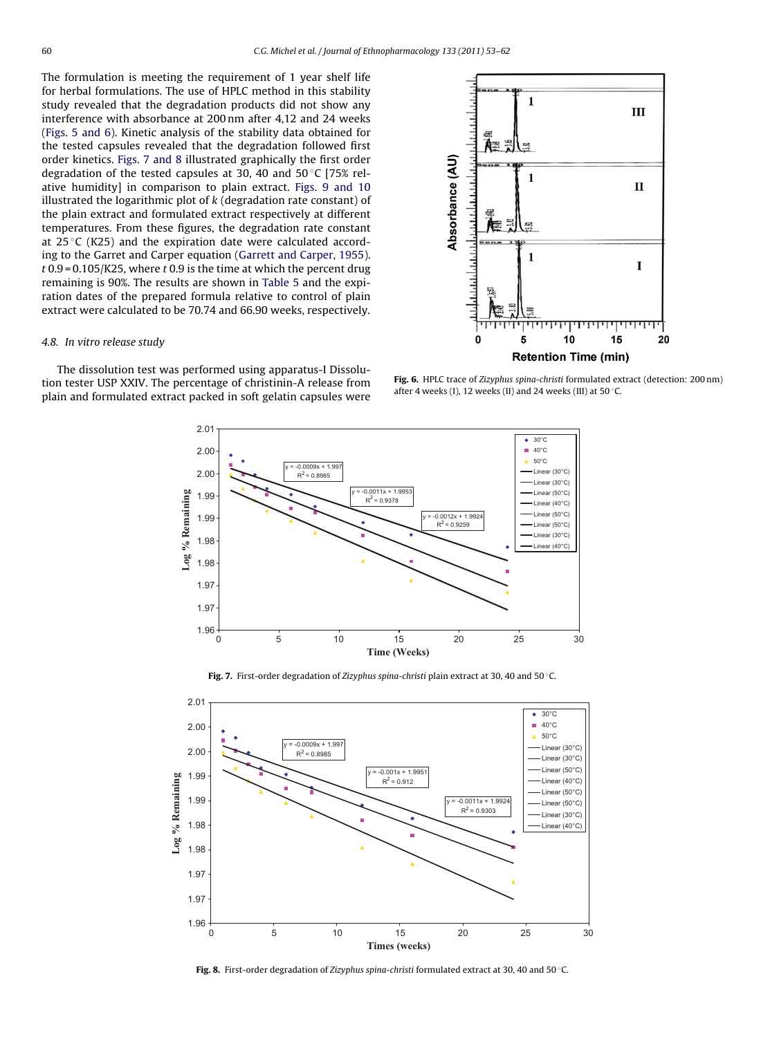The formulation is meeting the requirement of 1 year shelf life for herbal formulations. The use of HPLC method in this stability study revealed that the degradation products did not show any interference with absorbance at 200 nm after 4,12 and 24 weeks ([Figs. 5 and 6\)](#page-6-0). Kinetic analysis of the stability data obtained for the tested capsules revealed that the degradation followed first order kinetics. Figs. 7 and 8 illustrated graphically the first order degradation of the tested capsules at 30, 40 and  $50^{\circ}$ C [75% relative humidity] in comparison to plain extract. [Figs. 9 and 10](#page-8-0) illustrated the logarithmic plot of  $k$  (degradation rate constant) of the plain extract and formulated extract respectively at different temperatures. From these figures, the degradation rate constant at 25 ◦C (K25) and the expiration date were calculated according to the Garret and Carper equation ([Garrett and Carper, 1955\).](#page-9-0)  $t$  0.9 = 0.105/K25, where  $t$  0.9 is the time at which the percent drug remaining is 90%. The results are shown in [Table 5](#page-8-0) and the expiration dates of the prepared formula relative to control of plain extract were calculated to be 70.74 and 66.90 weeks, respectively.

### 4.8. In vitro release study

The dissolution test was performed using apparatus-I Dissolution tester USP XXIV. The percentage of christinin-A release from plain and formulated extract packed in soft gelatin capsules were



Fig. 6. HPLC trace of Zizyphus spina-christi formulated extract (detection: 200 nm) after 4 weeks (I), 12 weeks (II) and 24 weeks (III) at 50 $\degree$ C.



Fig. 7. First-order degradation of Zizyphus spina-christi plain extract at 30, 40 and 50 °C.



**Fig. 8.** First-order degradation of Zizyphus spina-christi formulated extract at 30, 40 and 50 ◦C.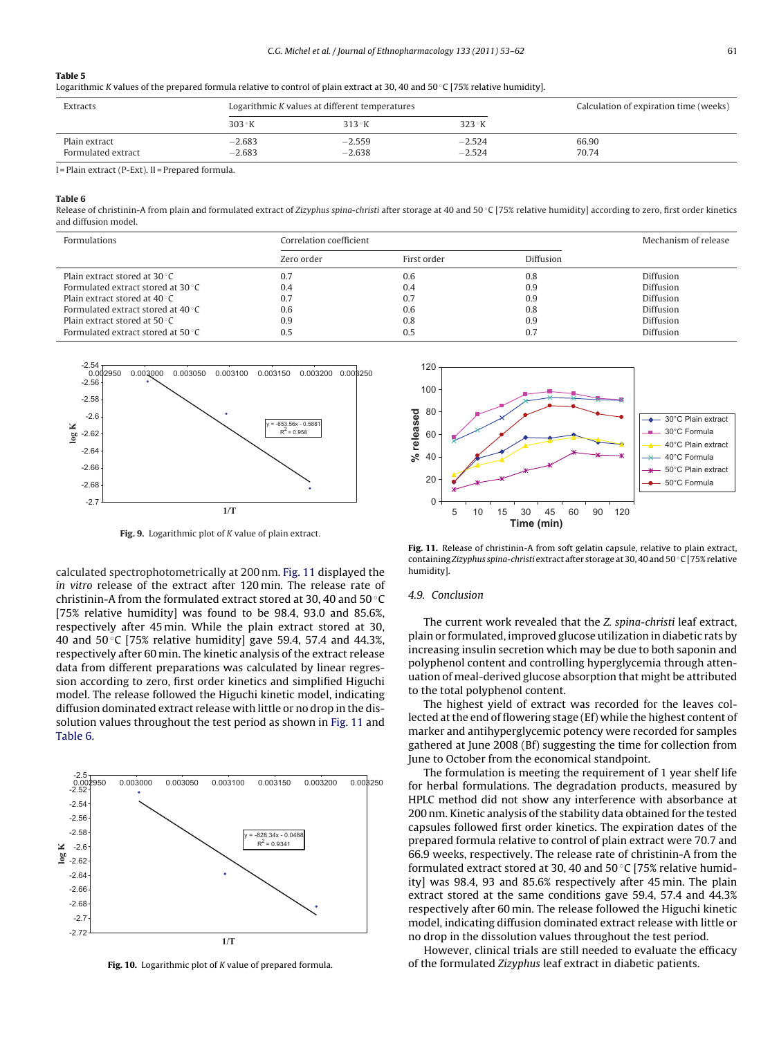### <span id="page-8-0"></span>**Table 5**

Logarithmic K values of the prepared formula relative to control of plain extract at 30, 40 and 50 ◦C [75% relative humidity].

| Extracts                            |                      | Logarithmic K values at different temperatures | Calculation of expiration time (weeks) |                |
|-------------------------------------|----------------------|------------------------------------------------|----------------------------------------|----------------|
|                                     | $303$ K              | $313 \text{ K}$                                | $323 \text{°K}$                        |                |
| Plain extract<br>Formulated extract | $-2.683$<br>$-2.683$ | $-2.559$<br>$-2.638$                           | $-2.524$<br>$-2.524$                   | 66.90<br>70.74 |

I = Plain extract (P-Ext). II = Prepared formula.

#### **Table 6**

Release of christinin-A from plain and formulated extract of Zizyphus spina-christi after storage at 40 and 50 ℃ [75% relative humidity] according to zero, first order kinetics and diffusion model.

| Formulations                           | Correlation coefficient | Mechanism of release |                  |           |
|----------------------------------------|-------------------------|----------------------|------------------|-----------|
|                                        | Zero order              | First order          | <b>Diffusion</b> |           |
| Plain extract stored at 30 °C          | 0.7                     | 0.6                  | 0.8              | Diffusion |
| Formulated extract stored at 30 °C     | 0.4                     | 0.4                  | 0.9              | Diffusion |
| Plain extract stored at $40^{\circ}$ C | 0.7                     | 0.7                  | 0.9              | Diffusion |
| Formulated extract stored at 40 °C     | 0.6                     | 0.6                  | 0.8              | Diffusion |
| Plain extract stored at 50 °C          | 0.9                     | 0.8                  | 0.9              | Diffusion |
| Formulated extract stored at 50 °C     | 0.5                     | 0.5                  | 0.7              | Diffusion |



Fig. 9. Logarithmic plot of K value of plain extract.

calculated spectrophotometrically at 200 nm. Fig. 11 displayed the in vitro release of the extract after 120 min. The release rate of christinin-A from the formulated extract stored at 30, 40 and 50 ◦C [75% relative humidity] was found to be 98.4, 93.0 and 85.6%, respectively after 45 min. While the plain extract stored at 30, 40 and 50 °C [75% relative humidity] gave 59.4, 57.4 and 44.3%, respectively after 60 min. The kinetic analysis of the extract release data from different preparations was calculated by linear regression according to zero, first order kinetics and simplified Higuchi model. The release followed the Higuchi kinetic model, indicating diffusion dominated extract release with little or no drop in the dissolution values throughout the test period as shown in Fig. 11 and Table 6.



**Fig. 10.** Logarithmic plot of K value of prepared formula.





#### 4.9. Conclusion

The current work revealed that the Z. spina-christi leaf extract, plain or formulated, improved glucose utilization in diabetic rats by increasing insulin secretion which may be due to both saponin and polyphenol content and controlling hyperglycemia through attenuation of meal-derived glucose absorption that might be attributed to the total polyphenol content.

The highest yield of extract was recorded for the leaves collected at the end of flowering stage (Ef) while the highest content of marker and antihyperglycemic potency were recorded for samples gathered at June 2008 (Bf) suggesting the time for collection from June to October from the economical standpoint.

The formulation is meeting the requirement of 1 year shelf life for herbal formulations. The degradation products, measured by HPLC method did not show any interference with absorbance at 200 nm. Kinetic analysis of the stability data obtained for the tested capsules followed first order kinetics. The expiration dates of the prepared formula relative to control of plain extract were 70.7 and 66.9 weeks, respectively. The release rate of christinin-A from the formulated extract stored at 30, 40 and 50 $\degree$ C [75% relative humidity] was 98.4, 93 and 85.6% respectively after 45 min. The plain extract stored at the same conditions gave 59.4, 57.4 and 44.3% respectively after 60 min. The release followed the Higuchi kinetic model, indicating diffusion dominated extract release with little or no drop in the dissolution values throughout the test period.

However, clinical trials are still needed to evaluate the efficacy of the formulated Zizyphus leaf extract in diabetic patients.